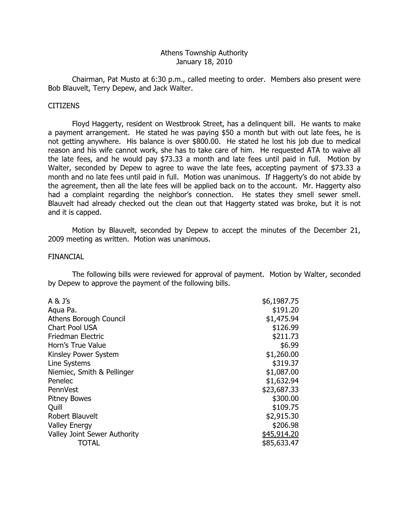### Athens Township Authority January 18, 2010

 Chairman, Pat Musto at 6:30 p.m., called meeting to order. Members also present were Bob Blauvelt, Terry Depew, and Jack Walter.

#### **CITIZENS**

 Floyd Haggerty, resident on Westbrook Street, has a delinquent bill. He wants to make a payment arrangement. He stated he was paying \$50 a month but with out late fees, he is not getting anywhere. His balance is over \$800.00. He stated he lost his job due to medical reason and his wife cannot work, she has to take care of him. He requested ATA to waive all the late fees, and he would pay \$73.33 a month and late fees until paid in full. Motion by Walter, seconded by Depew to agree to wave the late fees, accepting payment of \$73.33 a month and no late fees until paid in full. Motion was unanimous. If Haggerty's do not abide by the agreement, then all the late fees will be applied back on to the account. Mr. Haggerty also had a complaint regarding the neighbor's connection. He states they smell sewer smell. Blauvelt had already checked out the clean out that Haggerty stated was broke, but it is not and it is capped.

 Motion by Blauvelt, seconded by Depew to accept the minutes of the December 21, 2009 meeting as written. Motion was unanimous.

#### FINANCIAL

 The following bills were reviewed for approval of payment. Motion by Walter, seconded by Depew to approve the payment of the following bills.

| A & J's                             | \$6,1987.75 |
|-------------------------------------|-------------|
| Aqua Pa.                            | \$191.20    |
| Athens Borough Council              | \$1,475.94  |
| Chart Pool USA                      | \$126.99    |
| Friedman Electric                   | \$211.73    |
| Horn's True Value                   | \$6.99      |
| Kinsley Power System                | \$1,260.00  |
| Line Systems                        | \$319.37    |
| Niemiec, Smith & Pellinger          | \$1,087.00  |
| Penelec                             | \$1,632.94  |
| PennVest                            | \$23,687.33 |
| <b>Pitney Bowes</b>                 | \$300.00    |
| Quill                               | \$109.75    |
| Robert Blauvelt                     | \$2,915.30  |
| <b>Valley Energy</b>                | \$206.98    |
| <b>Valley Joint Sewer Authority</b> | \$45,914.20 |
| TOTAL                               | \$85,633.47 |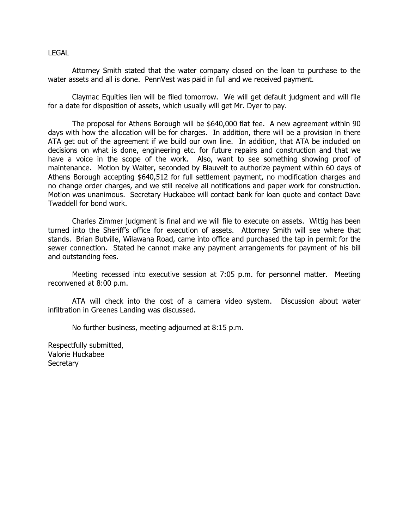#### LEGAL

 Attorney Smith stated that the water company closed on the loan to purchase to the water assets and all is done. PennVest was paid in full and we received payment.

 Claymac Equities lien will be filed tomorrow. We will get default judgment and will file for a date for disposition of assets, which usually will get Mr. Dyer to pay.

 The proposal for Athens Borough will be \$640,000 flat fee. A new agreement within 90 days with how the allocation will be for charges. In addition, there will be a provision in there ATA get out of the agreement if we build our own line. In addition, that ATA be included on decisions on what is done, engineering etc. for future repairs and construction and that we have a voice in the scope of the work. Also, want to see something showing proof of maintenance. Motion by Walter, seconded by Blauvelt to authorize payment within 60 days of Athens Borough accepting \$640,512 for full settlement payment, no modification charges and no change order charges, and we still receive all notifications and paper work for construction. Motion was unanimous. Secretary Huckabee will contact bank for loan quote and contact Dave Twaddell for bond work.

 Charles Zimmer judgment is final and we will file to execute on assets. Wittig has been turned into the Sheriff's office for execution of assets. Attorney Smith will see where that stands. Brian Butville, Wilawana Road, came into office and purchased the tap in permit for the sewer connection. Stated he cannot make any payment arrangements for payment of his bill and outstanding fees.

 Meeting recessed into executive session at 7:05 p.m. for personnel matter. Meeting reconvened at 8:00 p.m.

 ATA will check into the cost of a camera video system. Discussion about water infiltration in Greenes Landing was discussed.

No further business, meeting adjourned at 8:15 p.m.

Respectfully submitted, Valorie Huckabee **Secretary**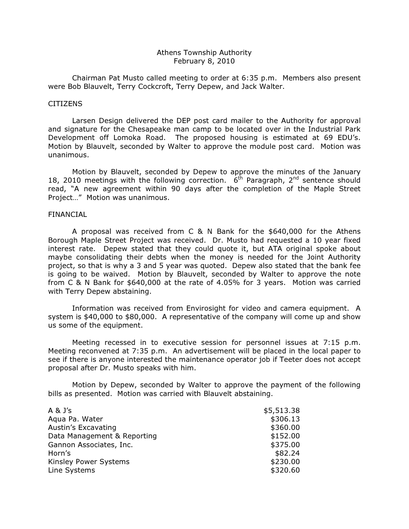### Athens Township Authority February 8, 2010

 Chairman Pat Musto called meeting to order at 6:35 p.m. Members also present were Bob Blauvelt, Terry Cockcroft, Terry Depew, and Jack Walter.

#### **CITIZENS**

 Larsen Design delivered the DEP post card mailer to the Authority for approval and signature for the Chesapeake man camp to be located over in the Industrial Park Development off Lomoka Road. The proposed housing is estimated at 69 EDU's. Motion by Blauvelt, seconded by Walter to approve the module post card. Motion was unanimous.

 Motion by Blauvelt, seconded by Depew to approve the minutes of the January 18, 2010 meetings with the following correction.  $6<sup>th</sup>$  Paragraph, 2<sup>nd</sup> sentence should read, "A new agreement within 90 days after the completion of the Maple Street Project…" Motion was unanimous.

### FINANCIAL

 A proposal was received from C & N Bank for the \$640,000 for the Athens Borough Maple Street Project was received. Dr. Musto had requested a 10 year fixed interest rate. Depew stated that they could quote it, but ATA original spoke about maybe consolidating their debts when the money is needed for the Joint Authority project, so that is why a 3 and 5 year was quoted. Depew also stated that the bank fee is going to be waived. Motion by Blauvelt, seconded by Walter to approve the note from C & N Bank for \$640,000 at the rate of 4.05% for 3 years. Motion was carried with Terry Depew abstaining.

 Information was received from Envirosight for video and camera equipment. A system is \$40,000 to \$80,000. A representative of the company will come up and show us some of the equipment.

 Meeting recessed in to executive session for personnel issues at 7:15 p.m. Meeting reconvened at 7:35 p.m. An advertisement will be placed in the local paper to see if there is anyone interested the maintenance operator job if Teeter does not accept proposal after Dr. Musto speaks with him.

 Motion by Depew, seconded by Walter to approve the payment of the following bills as presented. Motion was carried with Blauvelt abstaining.

| $A \& J's$                  | \$5,513.38 |
|-----------------------------|------------|
| Agua Pa. Water              | \$306.13   |
| Austin's Excavating         | \$360.00   |
| Data Management & Reporting | \$152.00   |
| Gannon Associates, Inc.     | \$375.00   |
| Horn's                      | \$82.24    |
| Kinsley Power Systems       | \$230.00   |
| Line Systems                | \$320.60   |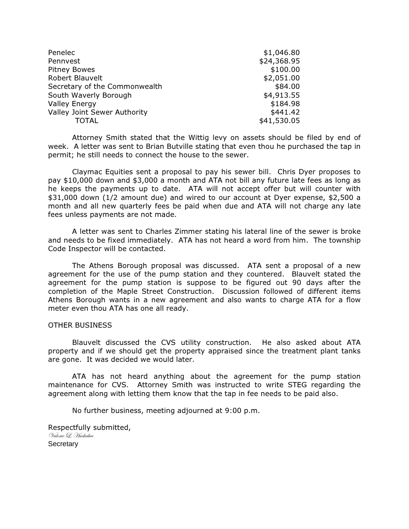| Penelec                       | \$1,046.80  |
|-------------------------------|-------------|
| Pennvest                      | \$24,368.95 |
| <b>Pitney Bowes</b>           | \$100.00    |
| Robert Blauvelt               | \$2,051.00  |
| Secretary of the Commonwealth | \$84.00     |
| South Waverly Borough         | \$4,913.55  |
| <b>Valley Energy</b>          | \$184.98    |
| Valley Joint Sewer Authority  | \$441.42    |
| TOTAL                         | \$41,530.05 |

 Attorney Smith stated that the Wittig levy on assets should be filed by end of week. A letter was sent to Brian Butville stating that even thou he purchased the tap in permit; he still needs to connect the house to the sewer.

 Claymac Equities sent a proposal to pay his sewer bill. Chris Dyer proposes to pay \$10,000 down and \$3,000 a month and ATA not bill any future late fees as long as he keeps the payments up to date. ATA will not accept offer but will counter with \$31,000 down (1/2 amount due) and wired to our account at Dyer expense, \$2,500 a month and all new quarterly fees be paid when due and ATA will not charge any late fees unless payments are not made.

 A letter was sent to Charles Zimmer stating his lateral line of the sewer is broke and needs to be fixed immediately. ATA has not heard a word from him. The township Code Inspector will be contacted.

 The Athens Borough proposal was discussed. ATA sent a proposal of a new agreement for the use of the pump station and they countered. Blauvelt stated the agreement for the pump station is suppose to be figured out 90 days after the completion of the Maple Street Construction. Discussion followed of different items Athens Borough wants in a new agreement and also wants to charge ATA for a flow meter even thou ATA has one all ready.

#### OTHER BUSINESS

 Blauvelt discussed the CVS utility construction. He also asked about ATA property and if we should get the property appraised since the treatment plant tanks are gone. It was decided we would later.

 ATA has not heard anything about the agreement for the pump station maintenance for CVS. Attorney Smith was instructed to write STEG regarding the agreement along with letting them know that the tap in fee needs to be paid also.

No further business, meeting adjourned at 9:00 p.m.

Respectfully submitted, Valorie L. Huckabee **Secretary**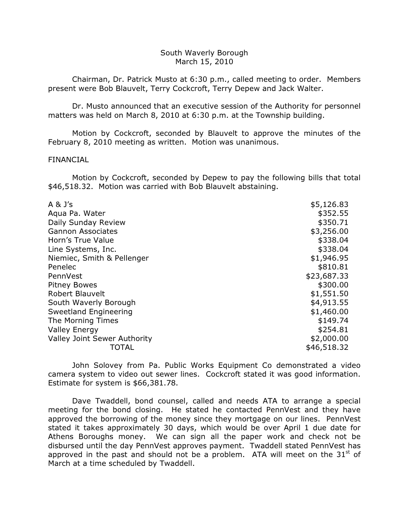### South Waverly Borough March 15, 2010

 Chairman, Dr. Patrick Musto at 6:30 p.m., called meeting to order. Members present were Bob Blauvelt, Terry Cockcroft, Terry Depew and Jack Walter.

 Dr. Musto announced that an executive session of the Authority for personnel matters was held on March 8, 2010 at 6:30 p.m. at the Township building.

 Motion by Cockcroft, seconded by Blauvelt to approve the minutes of the February 8, 2010 meeting as written. Motion was unanimous.

## FINANCIAL

 Motion by Cockcroft, seconded by Depew to pay the following bills that total \$46,518.32. Motion was carried with Bob Blauvelt abstaining.

| $A \& J's$                   | \$5,126.83  |
|------------------------------|-------------|
| Agua Pa. Water               | \$352.55    |
| Daily Sunday Review          | \$350.71    |
| <b>Gannon Associates</b>     | \$3,256.00  |
| Horn's True Value            | \$338.04    |
| Line Systems, Inc.           | \$338.04    |
| Niemiec, Smith & Pellenger   | \$1,946.95  |
| Penelec                      | \$810.81    |
| PennVest                     | \$23,687.33 |
| <b>Pitney Bowes</b>          | \$300.00    |
| <b>Robert Blauvelt</b>       | \$1,551.50  |
| South Waverly Borough        | \$4,913.55  |
| Sweetland Engineering        | \$1,460.00  |
| The Morning Times            | \$149.74    |
| <b>Valley Energy</b>         | \$254.81    |
| Valley Joint Sewer Authority | \$2,000.00  |
| TOTAL                        | \$46,518.32 |

 John Solovey from Pa. Public Works Equipment Co demonstrated a video camera system to video out sewer lines. Cockcroft stated it was good information. Estimate for system is \$66,381.78.

 Dave Twaddell, bond counsel, called and needs ATA to arrange a special meeting for the bond closing. He stated he contacted PennVest and they have approved the borrowing of the money since they mortgage on our lines. PennVest stated it takes approximately 30 days, which would be over April 1 due date for Athens Boroughs money. We can sign all the paper work and check not be disbursed until the day PennVest approves payment. Twaddell stated PennVest has approved in the past and should not be a problem. ATA will meet on the  $31<sup>st</sup>$  of March at a time scheduled by Twaddell.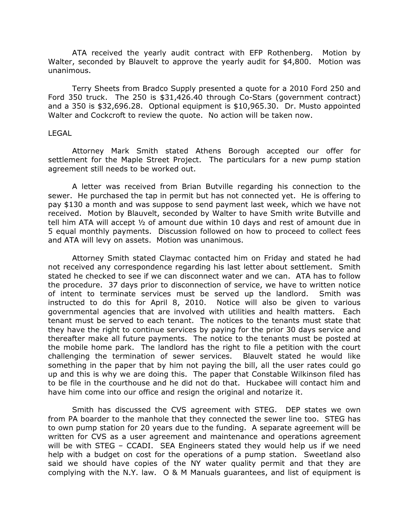ATA received the yearly audit contract with EFP Rothenberg. Motion by Walter, seconded by Blauvelt to approve the yearly audit for \$4,800. Motion was unanimous.

 Terry Sheets from Bradco Supply presented a quote for a 2010 Ford 250 and Ford 350 truck. The 250 is \$31,426.40 through Co-Stars (government contract) and a 350 is \$32,696.28. Optional equipment is \$10,965.30. Dr. Musto appointed Walter and Cockcroft to review the quote. No action will be taken now.

#### LEGAL

 Attorney Mark Smith stated Athens Borough accepted our offer for settlement for the Maple Street Project. The particulars for a new pump station agreement still needs to be worked out.

 A letter was received from Brian Butville regarding his connection to the sewer. He purchased the tap in permit but has not connected yet. He is offering to pay \$130 a month and was suppose to send payment last week, which we have not received. Motion by Blauvelt, seconded by Walter to have Smith write Butville and tell him ATA will accept ½ of amount due within 10 days and rest of amount due in 5 equal monthly payments. Discussion followed on how to proceed to collect fees and ATA will levy on assets. Motion was unanimous.

 Attorney Smith stated Claymac contacted him on Friday and stated he had not received any correspondence regarding his last letter about settlement. Smith stated he checked to see if we can disconnect water and we can. ATA has to follow the procedure. 37 days prior to disconnection of service, we have to written notice of intent to terminate services must be served up the landlord. Smith was instructed to do this for April 8, 2010. Notice will also be given to various governmental agencies that are involved with utilities and health matters. Each tenant must be served to each tenant. The notices to the tenants must state that they have the right to continue services by paying for the prior 30 days service and thereafter make all future payments. The notice to the tenants must be posted at the mobile home park. The landlord has the right to file a petition with the court challenging the termination of sewer services. Blauvelt stated he would like something in the paper that by him not paying the bill, all the user rates could go up and this is why we are doing this. The paper that Constable Wilkinson filed has to be file in the courthouse and he did not do that. Huckabee will contact him and have him come into our office and resign the original and notarize it.

 Smith has discussed the CVS agreement with STEG. DEP states we own from PA boarder to the manhole that they connected the sewer line too. STEG has to own pump station for 20 years due to the funding. A separate agreement will be written for CVS as a user agreement and maintenance and operations agreement will be with STEG – CCADI. SEA Engineers stated they would help us if we need help with a budget on cost for the operations of a pump station. Sweetland also said we should have copies of the NY water quality permit and that they are complying with the N.Y. law. O & M Manuals guarantees, and list of equipment is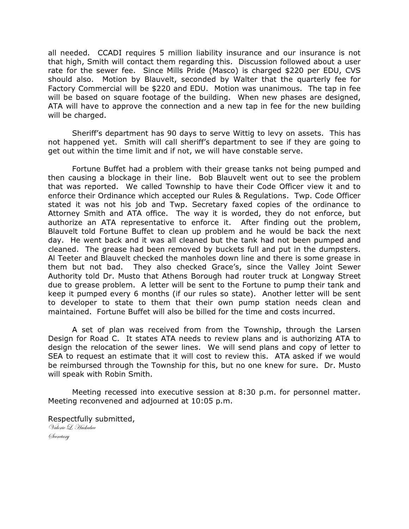all needed. CCADI requires 5 million liability insurance and our insurance is not that high, Smith will contact them regarding this. Discussion followed about a user rate for the sewer fee. Since Mills Pride (Masco) is charged \$220 per EDU, CVS should also. Motion by Blauvelt, seconded by Walter that the quarterly fee for Factory Commercial will be \$220 and EDU. Motion was unanimous. The tap in fee will be based on square footage of the building. When new phases are designed, ATA will have to approve the connection and a new tap in fee for the new building will be charged.

 Sheriff's department has 90 days to serve Wittig to levy on assets. This has not happened yet. Smith will call sheriff's department to see if they are going to get out within the time limit and if not, we will have constable serve.

 Fortune Buffet had a problem with their grease tanks not being pumped and then causing a blockage in their line. Bob Blauvelt went out to see the problem that was reported. We called Township to have their Code Officer view it and to enforce their Ordinance which accepted our Rules & Regulations. Twp. Code Officer stated it was not his job and Twp. Secretary faxed copies of the ordinance to Attorney Smith and ATA office. The way it is worded, they do not enforce, but authorize an ATA representative to enforce it. After finding out the problem, Blauvelt told Fortune Buffet to clean up problem and he would be back the next day. He went back and it was all cleaned but the tank had not been pumped and cleaned. The grease had been removed by buckets full and put in the dumpsters. Al Teeter and Blauvelt checked the manholes down line and there is some grease in them but not bad. They also checked Grace's, since the Valley Joint Sewer Authority told Dr. Musto that Athens Borough had router truck at Longway Street due to grease problem. A letter will be sent to the Fortune to pump their tank and keep it pumped every 6 months (if our rules so state). Another letter will be sent to developer to state to them that their own pump station needs clean and maintained. Fortune Buffet will also be billed for the time and costs incurred.

 A set of plan was received from from the Township, through the Larsen Design for Road C. It states ATA needs to review plans and is authorizing ATA to design the relocation of the sewer lines. We will send plans and copy of letter to SEA to request an estimate that it will cost to review this. ATA asked if we would be reimbursed through the Township for this, but no one knew for sure. Dr. Musto will speak with Robin Smith.

 Meeting recessed into executive session at 8:30 p.m. for personnel matter. Meeting reconvened and adjourned at 10:05 p.m.

Respectfully submitted, Valorie L. Huckabee Øeeretary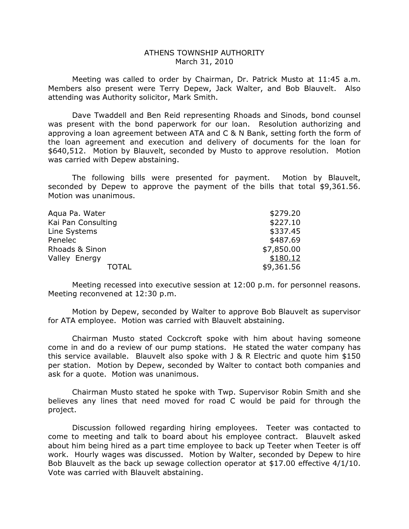### ATHENS TOWNSHIP AUTHORITY March 31, 2010

 Meeting was called to order by Chairman, Dr. Patrick Musto at 11:45 a.m. Members also present were Terry Depew, Jack Walter, and Bob Blauvelt. Also attending was Authority solicitor, Mark Smith.

 Dave Twaddell and Ben Reid representing Rhoads and Sinods, bond counsel was present with the bond paperwork for our loan. Resolution authorizing and approving a loan agreement between ATA and C & N Bank, setting forth the form of the loan agreement and execution and delivery of documents for the loan for \$640,512. Motion by Blauvelt, seconded by Musto to approve resolution. Motion was carried with Depew abstaining.

 The following bills were presented for payment. Motion by Blauvelt, seconded by Depew to approve the payment of the bills that total \$9,361.56. Motion was unanimous.

| Agua Pa. Water     | \$279.20   |
|--------------------|------------|
| Kai Pan Consulting | \$227.10   |
| Line Systems       | \$337.45   |
| Penelec            | \$487.69   |
| Rhoads & Sinon     | \$7,850.00 |
| Valley Energy      | \$180.12   |
| TOTAL              | \$9,361.56 |

 Meeting recessed into executive session at 12:00 p.m. for personnel reasons. Meeting reconvened at 12:30 p.m.

 Motion by Depew, seconded by Walter to approve Bob Blauvelt as supervisor for ATA employee. Motion was carried with Blauvelt abstaining.

 Chairman Musto stated Cockcroft spoke with him about having someone come in and do a review of our pump stations. He stated the water company has this service available. Blauvelt also spoke with J & R Electric and quote him \$150 per station. Motion by Depew, seconded by Walter to contact both companies and ask for a quote. Motion was unanimous.

 Chairman Musto stated he spoke with Twp. Supervisor Robin Smith and she believes any lines that need moved for road C would be paid for through the project.

 Discussion followed regarding hiring employees. Teeter was contacted to come to meeting and talk to board about his employee contract. Blauvelt asked about him being hired as a part time employee to back up Teeter when Teeter is off work. Hourly wages was discussed. Motion by Walter, seconded by Depew to hire Bob Blauvelt as the back up sewage collection operator at \$17.00 effective 4/1/10. Vote was carried with Blauvelt abstaining.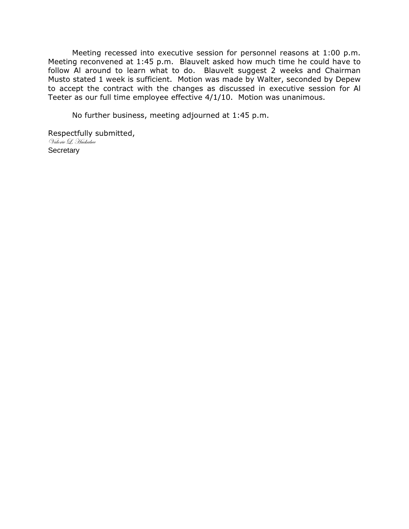Meeting recessed into executive session for personnel reasons at 1:00 p.m. Meeting reconvened at 1:45 p.m. Blauvelt asked how much time he could have to follow Al around to learn what to do. Blauvelt suggest 2 weeks and Chairman Musto stated 1 week is sufficient. Motion was made by Walter, seconded by Depew to accept the contract with the changes as discussed in executive session for Al Teeter as our full time employee effective 4/1/10. Motion was unanimous.

No further business, meeting adjourned at 1:45 p.m.

Respectfully submitted, Valorie L. Huckabee **Secretary**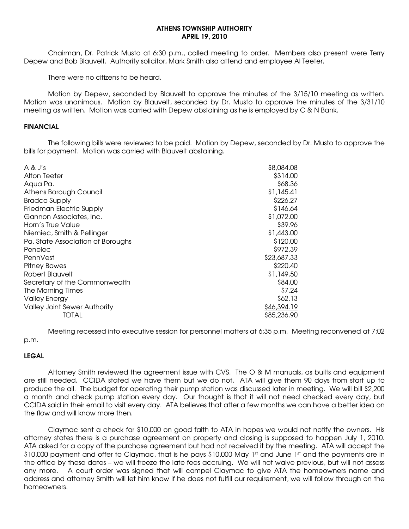#### ATHENS TOWNSHIP AUTHORITY APRIL 19, 2010

 Chairman, Dr. Patrick Musto at 6:30 p.m., called meeting to order. Members also present were Terry Depew and Bob Blauvelt. Authority solicitor, Mark Smith also attend and employee Al Teeter.

There were no citizens to be heard.

 Motion by Depew, seconded by Blauvelt to approve the minutes of the 3/15/10 meeting as written. Motion was unanimous. Motion by Blauvelt, seconded by Dr. Musto to approve the minutes of the 3/31/10 meeting as written. Motion was carried with Depew abstaining as he is employed by C & N Bank.

#### FINANCIAL

 The following bills were reviewed to be paid. Motion by Depew, seconded by Dr. Musto to approve the bills for payment. Motion was carried with Blauvelt abstaining.

| $A \& J's$                        | \$8,084.08  |
|-----------------------------------|-------------|
| Alton Teeter                      | \$314.00    |
| Aqua Pa.                          | \$68.36     |
| Athens Borough Council            | \$1,145.41  |
| <b>Bradco Supply</b>              | \$226.27    |
| Friedman Electric Supply          | \$146.64    |
| Gannon Associates, Inc.           | \$1,072.00  |
| Horn's True Value                 | \$39.96     |
| Niemiec, Smith & Pellinger        | \$1,443.00  |
| Pa. State Association of Boroughs | \$120.00    |
| Penelec                           | \$972.39    |
| PennVest                          | \$23,687.33 |
| <b>Pitney Bowes</b>               | \$220.40    |
| Robert Blauvelt                   | \$1,149.50  |
| Secretary of the Commonwealth     | \$84.00     |
| The Morning Times                 | \$7.24      |
| <b>Valley Energy</b>              | \$62.13     |
| Valley Joint Sewer Authority      | \$46,394.19 |
| TOTAL                             | \$85,236.90 |

 Meeting recessed into executive session for personnel matters at 6:35 p.m. Meeting reconvened at 7:02 p.m.

### LEGAL

 Attorney Smith reviewed the agreement issue with CVS. The O & M manuals, as builts and equipment are still needed. CCIDA stated we have them but we do not. ATA will give them 90 days from start up to produce the all. The budget for operating their pump station was discussed later in meeting. We will bill \$2,200 a month and check pump station every day. Our thought is that it will not need checked every day, but CCIDA said in their email to visit every day. ATA believes that after a few months we can have a better idea on the flow and will know more then.

 Claymac sent a check for \$10,000 on good faith to ATA in hopes we would not notify the owners. His attorney states there is a purchase agreement on property and closing is supposed to happen July 1, 2010. ATA asked for a copy of the purchase agreement but had not received it by the meeting. ATA will accept the \$10,000 payment and offer to Claymac, that is he pays \$10,000 May 1st and June 1st and the payments are in the office by these dates – we will freeze the late fees accruing. We will not waive previous, but will not assess any more. A court order was signed that will compel Claymac to give ATA the homeowners name and address and attorney Smith will let him know if he does not fulfill our requirement, we will follow through on the homeowners.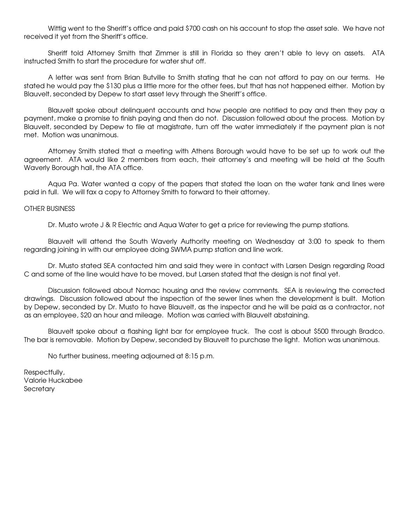Wittig went to the Sheriff's office and paid \$700 cash on his account to stop the asset sale. We have not received it yet from the Sheriff's office.

 Sheriff told Attorney Smith that Zimmer is still in Florida so they aren't able to levy on assets. ATA instructed Smith to start the procedure for water shut off.

 A letter was sent from Brian Butville to Smith stating that he can not afford to pay on our terms. He stated he would pay the \$130 plus a little more for the other fees, but that has not happened either. Motion by Blauvelt, seconded by Depew to start asset levy through the Sheriff's office.

 Blauvelt spoke about delinquent accounts and how people are notified to pay and then they pay a payment, make a promise to finish paying and then do not. Discussion followed about the process. Motion by Blauvelt, seconded by Depew to file at magistrate, turn off the water immediately if the payment plan is not met. Motion was unanimous.

 Attorney Smith stated that a meeting with Athens Borough would have to be set up to work out the agreement. ATA would like 2 members from each, their attorney's and meeting will be held at the South Waverly Borough hall, the ATA office.

 Aqua Pa. Water wanted a copy of the papers that stated the loan on the water tank and lines were paid in full. We will fax a copy to Attorney Smith to forward to their attorney.

#### OTHER BUSINESS

Dr. Musto wrote J & R Electric and Aqua Water to get a price for reviewing the pump stations.

 Blauvelt will attend the South Waverly Authority meeting on Wednesday at 3:00 to speak to them regarding joining in with our employee doing SWMA pump station and line work.

 Dr. Musto stated SEA contacted him and said they were in contact with Larsen Design regarding Road C and some of the line would have to be moved, but Larsen stated that the design is not final yet.

 Discussion followed about Nomac housing and the review comments. SEA is reviewing the corrected drawings. Discussion followed about the inspection of the sewer lines when the development is built. Motion by Depew, seconded by Dr. Musto to have Blauvelt, as the inspector and he will be paid as a contractor, not as an employee, \$20 an hour and mileage. Motion was carried with Blauvelt abstaining.

 Blauvelt spoke about a flashing light bar for employee truck. The cost is about \$500 through Bradco. The bar is removable. Motion by Depew, seconded by Blauvelt to purchase the light. Motion was unanimous.

No further business, meeting adjourned at 8:15 p.m.

Respectfully, Valorie Huckabee **Secretary**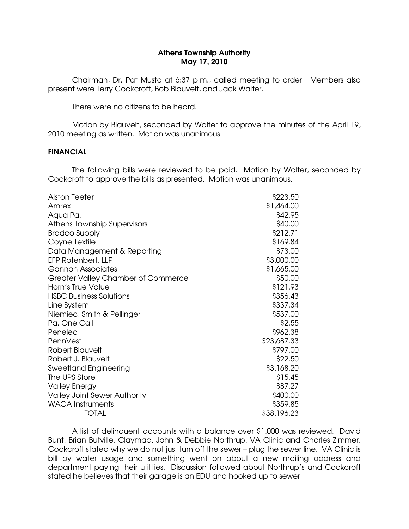## Athens Township Authority May 17, 2010

 Chairman, Dr. Pat Musto at 6:37 p.m., called meeting to order. Members also present were Terry Cockcroft, Bob Blauvelt, and Jack Walter.

There were no citizens to be heard.

 Motion by Blauvelt, seconded by Walter to approve the minutes of the April 19, 2010 meeting as written. Motion was unanimous.

## FINANCIAL

 The following bills were reviewed to be paid. Motion by Walter, seconded by Cockcroft to approve the bills as presented. Motion was unanimous.

| Alston Teeter                             | \$223.50    |
|-------------------------------------------|-------------|
| Amrex                                     | \$1,464.00  |
| Aqua Pa.                                  | \$42.95     |
| Athens Township Supervisors               | \$40.00     |
| <b>Bradco Supply</b>                      | \$212.71    |
| Coyne Textile                             | \$169.84    |
| Data Management & Reporting               | \$73.00     |
| EFP Rotenbert, LLP                        | \$3,000.00  |
| <b>Gannon Associates</b>                  | \$1,665.00  |
| <b>Greater Valley Chamber of Commerce</b> | \$50.00     |
| Horn's True Value                         | \$121.93    |
| <b>HSBC Business Solutions</b>            | \$356.43    |
| Line System                               | \$337.34    |
| Niemiec, Smith & Pellinger                | \$537.00    |
| Pa. One Call                              | \$2.55      |
| Penelec                                   | \$962.38    |
| PennVest                                  | \$23,687.33 |
| Robert Blauvelt                           | \$797.00    |
| Robert J. Blauvelt                        | \$22.50     |
| <b>Sweetland Engineering</b>              | \$3,168.20  |
| The UPS Store                             | \$15.45     |
| <b>Valley Energy</b>                      | \$87.27     |
| <b>Valley Joint Sewer Authority</b>       | \$400.00    |
| <b>WACA Instruments</b>                   | \$359.85    |
| <b>TOTAL</b>                              | \$38,196.23 |

 A list of delinquent accounts with a balance over \$1,000 was reviewed. David Bunt, Brian Butville, Claymac, John & Debbie Northrup, VA Clinic and Charles Zimmer. Cockcroft stated why we do not just turn off the sewer – plug the sewer line. VA Clinic is bill by water usage and something went on about a new mailing address and department paying their utilities. Discussion followed about Northrup's and Cockcroft stated he believes that their garage is an EDU and hooked up to sewer.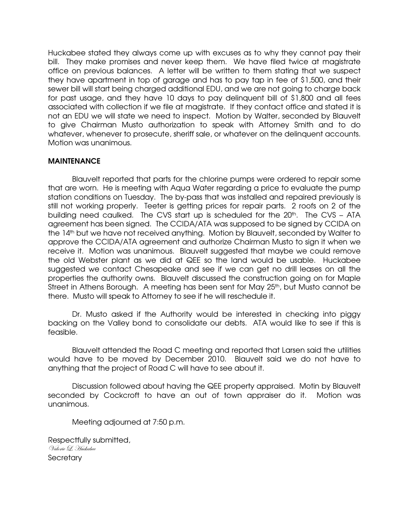Huckabee stated they always come up with excuses as to why they cannot pay their bill. They make promises and never keep them. We have filed twice at magistrate office on previous balances. A letter will be written to them stating that we suspect they have apartment in top of garage and has to pay tap in fee of \$1,500, and their sewer bill will start being charged additional EDU, and we are not going to charge back for past usage, and they have 10 days to pay delinquent bill of \$1,800 and all fees associated with collection if we file at magistrate. If they contact office and stated it is not an EDU we will state we need to inspect. Motion by Walter, seconded by Blauvelt to give Chairman Musto authorization to speak with Attorney Smith and to do whatever, whenever to prosecute, sheriff sale, or whatever on the delinquent accounts. Motion was unanimous.

# MAINTENANCE

 Blauvelt reported that parts for the chlorine pumps were ordered to repair some that are worn. He is meeting with Aqua Water regarding a price to evaluate the pump station conditions on Tuesday. The by-pass that was installed and repaired previously is still not working properly. Teeter is getting prices for repair parts. 2 roofs on 2 of the building need caulked. The CVS start up is scheduled for the 20<sup>th</sup>. The CVS - ATA agreement has been signed. The CCIDA/ATA was supposed to be signed by CCIDA on the 14<sup>th</sup> but we have not received anything. Motion by Blauvelt, seconded by Walter to approve the CCIDA/ATA agreement and authorize Chairman Musto to sign it when we receive it. Motion was unanimous. Blauvelt suggested that maybe we could remove the old Webster plant as we did at QEE so the land would be usable. Huckabee suggested we contact Chesapeake and see if we can get no drill leases on all the properties the authority owns. Blauvelt discussed the construction going on for Maple Street in Athens Borough. A meeting has been sent for May 25<sup>th</sup>, but Musto cannot be there. Musto will speak to Attorney to see if he will reschedule it.

 Dr. Musto asked if the Authority would be interested in checking into piggy backing on the Valley bond to consolidate our debts. ATA would like to see if this is feasible.

 Blauvelt attended the Road C meeting and reported that Larsen said the utilities would have to be moved by December 2010. Blauvelt said we do not have to anything that the project of Road C will have to see about it.

 Discussion followed about having the QEE property appraised. Motin by Blauvelt seconded by Cockcroft to have an out of town appraiser do it. Motion was unanimous.

Meeting adjourned at 7:50 p.m.

Respectfully submitted, Valorie L. Huckabee **Secretary**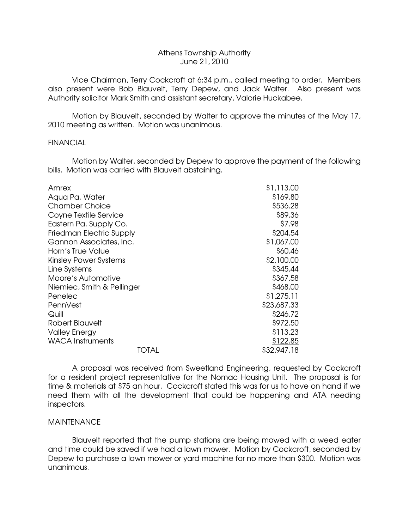# Athens Township Authority June 21, 2010

 Vice Chairman, Terry Cockcroft at 6:34 p.m., called meeting to order. Members also present were Bob Blauvelt, Terry Depew, and Jack Walter. Also present was Authority solicitor Mark Smith and assistant secretary, Valorie Huckabee.

 Motion by Blauvelt, seconded by Walter to approve the minutes of the May 17, 2010 meeting as written. Motion was unanimous.

### **FINANCIAL**

 Motion by Walter, seconded by Depew to approve the payment of the following bills. Motion was carried with Blauvelt abstaining.

| Amrex                           | \$1,113.00  |
|---------------------------------|-------------|
| Aqua Pa. Water                  | \$169.80    |
| <b>Chamber Choice</b>           | \$536.28    |
| Coyne Textile Service           | \$89.36     |
| Eastern Pa. Supply Co.          | \$7.98      |
| <b>Friedman Electric Supply</b> | \$204.54    |
| Gannon Associates, Inc.         | \$1,067.00  |
| Horn's True Value               | \$60.46     |
| <b>Kinsley Power Systems</b>    | \$2,100.00  |
| Line Systems                    | \$345.44    |
| Moore's Automotive              | \$367.58    |
| Niemiec, Smith & Pellinger      | \$468.00    |
| Penelec                         | \$1,275.11  |
| PennVest                        | \$23,687.33 |
| Quill                           | \$246.72    |
| Robert Blauvelt                 | \$972.50    |
| <b>Valley Energy</b>            | \$113.23    |
| <b>WACA Instruments</b>         | \$122.85    |
| TOTAL                           | \$32,947.18 |

 A proposal was received from Sweetland Engineering, requested by Cockcroft for a resident project representative for the Nomac Housing Unit. The proposal is for time & materials at \$75 an hour. Cockcroft stated this was for us to have on hand if we need them with all the development that could be happening and ATA needing inspectors.

### **MAINTENANCE**

 Blauvelt reported that the pump stations are being mowed with a weed eater and time could be saved if we had a lawn mower. Motion by Cockcroft, seconded by Depew to purchase a lawn mower or yard machine for no more than \$300. Motion was unanimous.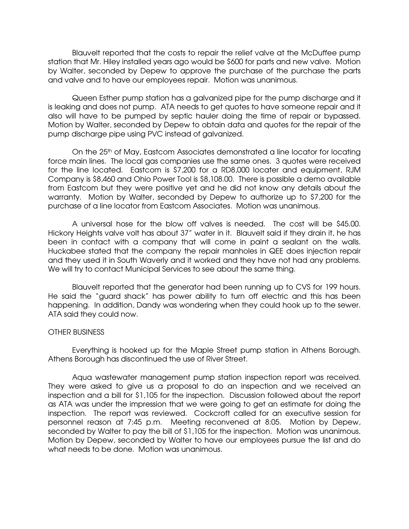Blauvelt reported that the costs to repair the relief valve at the McDuffee pump station that Mr. Hiley installed years ago would be \$600 for parts and new valve. Motion by Walter, seconded by Depew to approve the purchase of the purchase the parts and valve and to have our employees repair. Motion was unanimous.

 Queen Esther pump station has a galvanized pipe for the pump discharge and it is leaking and does not pump. ATA needs to get quotes to have someone repair and it also will have to be pumped by septic hauler doing the time of repair or bypassed. Motion by Walter, seconded by Depew to obtain data and quotes for the repair of the pump discharge pipe using PVC instead of galvanized.

On the 25<sup>th</sup> of May, Eastcom Associates demonstrated a line locator for locating force main lines. The local gas companies use the same ones. 3 quotes were received for the line located. Eastcom is \$7,200 for a RD8,000 locater and equipment, RJM Company is \$8,460 and Ohio Power Tool is \$8,108.00. There is possible a demo available from Eastcom but they were positive yet and he did not know any details about the warranty. Motion by Walter, seconded by Depew to authorize up to \$7,200 for the purchase of a line locator from Eastcom Associates. Motion was unanimous.

 A universal hose for the blow off valves is needed. The cost will be \$45.00. Hickory Heights valve volt has about 37" water in it. Blauvelt said if they drain it, he has been in contact with a company that will come in paint a sealant on the walls. Huckabee stated that the company the repair manholes in QEE does injection repair and they used it in South Waverly and it worked and they have not had any problems. We will try to contact Municipal Services to see about the same thing.

 Blauvelt reported that the generator had been running up to CVS for 199 hours. He said the "guard shack" has power ability to turn off electric and this has been happening. In addition, Dandy was wondering when they could hook up to the sewer. ATA said they could now.

### OTHER BUSINESS

 Everything is hooked up for the Maple Street pump station in Athens Borough. Athens Borough has discontinued the use of River Street.

 Aqua wastewater management pump station inspection report was received. They were asked to give us a proposal to do an inspection and we received an inspection and a bill for \$1,105 for the inspection. Discussion followed about the report as ATA was under the impression that we were going to get an estimate for doing the inspection. The report was reviewed. Cockcroft called for an executive session for personnel reason at 7:45 p.m. Meeting reconvened at 8:05. Motion by Depew, seconded by Walter to pay the bill of \$1,105 for the inspection. Motion was unanimous. Motion by Depew, seconded by Walter to have our employees pursue the list and do what needs to be done. Motion was unanimous.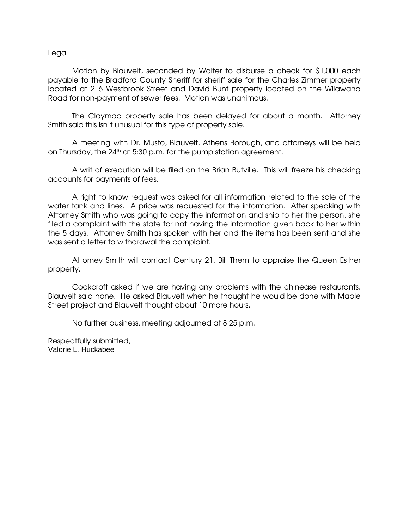### Legal

 Motion by Blauvelt, seconded by Walter to disburse a check for \$1,000 each payable to the Bradford County Sheriff for sheriff sale for the Charles Zimmer property located at 216 Westbrook Street and David Bunt property located on the Wilawana Road for non-payment of sewer fees. Motion was unanimous.

 The Claymac property sale has been delayed for about a month. Attorney Smith said this isn't unusual for this type of property sale.

 A meeting with Dr. Musto, Blauvelt, Athens Borough, and attorneys will be held on Thursday, the 24<sup>th</sup> at 5:30 p.m. for the pump station agreement.

 A writ of execution will be filed on the Brian Butville. This will freeze his checking accounts for payments of fees.

 A right to know request was asked for all information related to the sale of the water tank and lines. A price was requested for the information. After speaking with Attorney Smith who was going to copy the information and ship to her the person, she filed a complaint with the state for not having the information given back to her within the 5 days. Attorney Smith has spoken with her and the items has been sent and she was sent a letter to withdrawal the complaint.

 Attorney Smith will contact Century 21, Bill Them to appraise the Queen Esther property.

 Cockcroft asked if we are having any problems with the chinease restaurants. Blauvelt said none. He asked Blauvelt when he thought he would be done with Maple Street project and Blauvelt thought about 10 more hours.

No further business, meeting adjourned at 8:25 p.m.

Respectfully submitted, Valorie L. Huckabee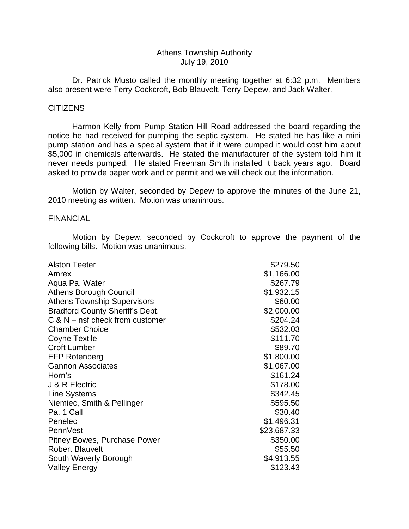# Athens Township Authority July 19, 2010

 Dr. Patrick Musto called the monthly meeting together at 6:32 p.m. Members also present were Terry Cockcroft, Bob Blauvelt, Terry Depew, and Jack Walter.

## **CITIZENS**

 Harmon Kelly from Pump Station Hill Road addressed the board regarding the notice he had received for pumping the septic system. He stated he has like a mini pump station and has a special system that if it were pumped it would cost him about \$5,000 in chemicals afterwards. He stated the manufacturer of the system told him it never needs pumped. He stated Freeman Smith installed it back years ago. Board asked to provide paper work and or permit and we will check out the information.

 Motion by Walter, seconded by Depew to approve the minutes of the June 21, 2010 meeting as written. Motion was unanimous.

## FINANCIAL

 Motion by Depew, seconded by Cockcroft to approve the payment of the following bills. Motion was unanimous.

| <b>Alston Teeter</b>                   | \$279.50    |
|----------------------------------------|-------------|
| Amrex                                  | \$1,166.00  |
| Aqua Pa. Water                         | \$267.79    |
| Athens Borough Council                 | \$1,932.15  |
| <b>Athens Township Supervisors</b>     | \$60.00     |
| <b>Bradford County Sheriff's Dept.</b> | \$2,000.00  |
| $C$ & N – nsf check from customer      | \$204.24    |
| <b>Chamber Choice</b>                  | \$532.03    |
| <b>Coyne Textile</b>                   | \$111.70    |
| <b>Croft Lumber</b>                    | \$89.70     |
| <b>EFP Rotenberg</b>                   | \$1,800.00  |
| <b>Gannon Associates</b>               | \$1,067.00  |
| Horn's                                 | \$161.24    |
| J & R Electric                         | \$178.00    |
| <b>Line Systems</b>                    | \$342.45    |
| Niemiec, Smith & Pellinger             | \$595.50    |
| Pa. 1 Call                             | \$30.40     |
| Penelec                                | \$1,496.31  |
| PennVest                               | \$23,687.33 |
| Pitney Bowes, Purchase Power           | \$350.00    |
| <b>Robert Blauvelt</b>                 | \$55.50     |
| South Waverly Borough                  | \$4,913.55  |
| <b>Valley Energy</b>                   | \$123.43    |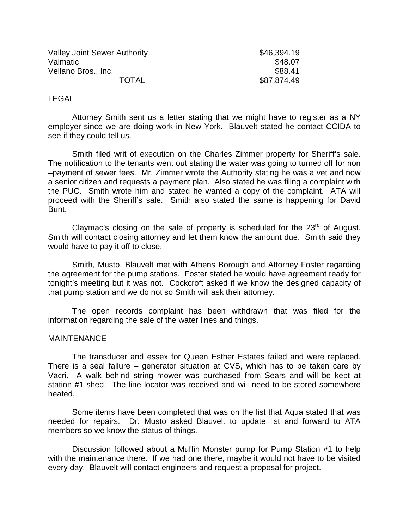| <b>Valley Joint Sewer Authority</b> | \$46,394.19 |
|-------------------------------------|-------------|
| Valmatic                            | \$48.07     |
| Vellano Bros., Inc.                 | \$88.41     |
| <b>TOTAL</b>                        | \$87,874.49 |

## LEGAL

 Attorney Smith sent us a letter stating that we might have to register as a NY employer since we are doing work in New York. Blauvelt stated he contact CCIDA to see if they could tell us.

 Smith filed writ of execution on the Charles Zimmer property for Sheriff's sale. The notification to the tenants went out stating the water was going to turned off for non –payment of sewer fees. Mr. Zimmer wrote the Authority stating he was a vet and now a senior citizen and requests a payment plan. Also stated he was filing a complaint with the PUC. Smith wrote him and stated he wanted a copy of the complaint. ATA will proceed with the Sheriff's sale. Smith also stated the same is happening for David Bunt.

Claymac's closing on the sale of property is scheduled for the  $23<sup>rd</sup>$  of August. Smith will contact closing attorney and let them know the amount due. Smith said they would have to pay it off to close.

 Smith, Musto, Blauvelt met with Athens Borough and Attorney Foster regarding the agreement for the pump stations. Foster stated he would have agreement ready for tonight's meeting but it was not. Cockcroft asked if we know the designed capacity of that pump station and we do not so Smith will ask their attorney.

 The open records complaint has been withdrawn that was filed for the information regarding the sale of the water lines and things.

### MAINTENANCE

 The transducer and essex for Queen Esther Estates failed and were replaced. There is a seal failure – generator situation at CVS, which has to be taken care by Vacri. A walk behind string mower was purchased from Sears and will be kept at station #1 shed. The line locator was received and will need to be stored somewhere heated.

 Some items have been completed that was on the list that Aqua stated that was needed for repairs. Dr. Musto asked Blauvelt to update list and forward to ATA members so we know the status of things.

 Discussion followed about a Muffin Monster pump for Pump Station #1 to help with the maintenance there. If we had one there, maybe it would not have to be visited every day. Blauvelt will contact engineers and request a proposal for project.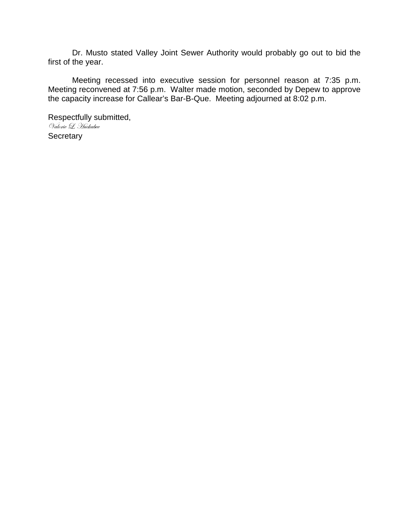Dr. Musto stated Valley Joint Sewer Authority would probably go out to bid the first of the year.

 Meeting recessed into executive session for personnel reason at 7:35 p.m. Meeting reconvened at 7:56 p.m. Walter made motion, seconded by Depew to approve the capacity increase for Callear's Bar-B-Que. Meeting adjourned at 8:02 p.m.

Respectfully submitted, Valorie L. Huckabee **Secretary**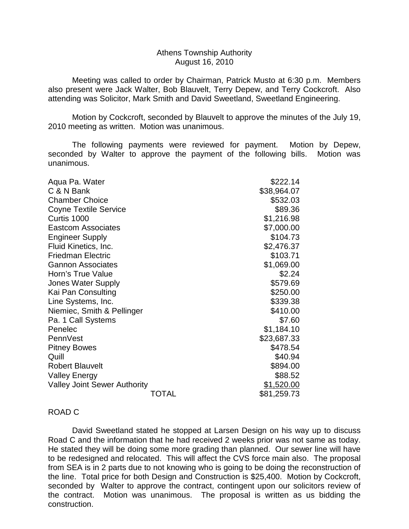## Athens Township Authority August 16, 2010

 Meeting was called to order by Chairman, Patrick Musto at 6:30 p.m. Members also present were Jack Walter, Bob Blauvelt, Terry Depew, and Terry Cockcroft. Also attending was Solicitor, Mark Smith and David Sweetland, Sweetland Engineering.

 Motion by Cockcroft, seconded by Blauvelt to approve the minutes of the July 19, 2010 meeting as written. Motion was unanimous.

 The following payments were reviewed for payment. Motion by Depew, seconded by Walter to approve the payment of the following bills. Motion was unanimous.

| Aqua Pa. Water                      | \$222.14    |
|-------------------------------------|-------------|
| C & N Bank                          | \$38,964.07 |
| <b>Chamber Choice</b>               | \$532.03    |
| <b>Coyne Textile Service</b>        | \$89.36     |
| Curtis 1000                         | \$1,216.98  |
| <b>Eastcom Associates</b>           | \$7,000.00  |
| <b>Engineer Supply</b>              | \$104.73    |
| Fluid Kinetics, Inc.                | \$2,476.37  |
| <b>Friedman Electric</b>            | \$103.71    |
| <b>Gannon Associates</b>            | \$1,069.00  |
| Horn's True Value                   | \$2.24      |
| <b>Jones Water Supply</b>           | \$579.69    |
| Kai Pan Consulting                  | \$250.00    |
| Line Systems, Inc.                  | \$339.38    |
| Niemiec, Smith & Pellinger          | \$410.00    |
| Pa. 1 Call Systems                  | \$7.60      |
| Penelec                             | \$1,184.10  |
| PennVest                            | \$23,687.33 |
| <b>Pitney Bowes</b>                 | \$478.54    |
| Quill                               | \$40.94     |
| <b>Robert Blauvelt</b>              | \$894.00    |
| <b>Valley Energy</b>                | \$88.52     |
| <b>Valley Joint Sewer Authority</b> | \$1,520.00  |
| TOTAL                               | \$81,259.73 |

# ROAD C

 David Sweetland stated he stopped at Larsen Design on his way up to discuss Road C and the information that he had received 2 weeks prior was not same as today. He stated they will be doing some more grading than planned. Our sewer line will have to be redesigned and relocated. This will affect the CVS force main also. The proposal from SEA is in 2 parts due to not knowing who is going to be doing the reconstruction of the line. Total price for both Design and Construction is \$25,400. Motion by Cockcroft, seconded by Walter to approve the contract, contingent upon our solicitors review of the contract. Motion was unanimous. The proposal is written as us bidding the construction.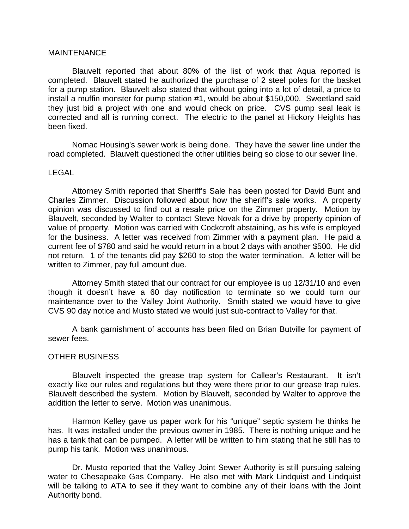## **MAINTENANCE**

 Blauvelt reported that about 80% of the list of work that Aqua reported is completed. Blauvelt stated he authorized the purchase of 2 steel poles for the basket for a pump station. Blauvelt also stated that without going into a lot of detail, a price to install a muffin monster for pump station #1, would be about \$150,000. Sweetland said they just bid a project with one and would check on price. CVS pump seal leak is corrected and all is running correct. The electric to the panel at Hickory Heights has been fixed.

 Nomac Housing's sewer work is being done. They have the sewer line under the road completed. Blauvelt questioned the other utilities being so close to our sewer line.

### LEGAL

 Attorney Smith reported that Sheriff's Sale has been posted for David Bunt and Charles Zimmer. Discussion followed about how the sheriff's sale works. A property opinion was discussed to find out a resale price on the Zimmer property. Motion by Blauvelt, seconded by Walter to contact Steve Novak for a drive by property opinion of value of property. Motion was carried with Cockcroft abstaining, as his wife is employed for the business. A letter was received from Zimmer with a payment plan. He paid a current fee of \$780 and said he would return in a bout 2 days with another \$500. He did not return. 1 of the tenants did pay \$260 to stop the water termination. A letter will be written to Zimmer, pay full amount due.

 Attorney Smith stated that our contract for our employee is up 12/31/10 and even though it doesn't have a 60 day notification to terminate so we could turn our maintenance over to the Valley Joint Authority. Smith stated we would have to give CVS 90 day notice and Musto stated we would just sub-contract to Valley for that.

 A bank garnishment of accounts has been filed on Brian Butville for payment of sewer fees.

### OTHER BUSINESS

 Blauvelt inspected the grease trap system for Callear's Restaurant. It isn't exactly like our rules and regulations but they were there prior to our grease trap rules. Blauvelt described the system. Motion by Blauvelt, seconded by Walter to approve the addition the letter to serve. Motion was unanimous.

 Harmon Kelley gave us paper work for his "unique" septic system he thinks he has. It was installed under the previous owner in 1985. There is nothing unique and he has a tank that can be pumped. A letter will be written to him stating that he still has to pump his tank. Motion was unanimous.

 Dr. Musto reported that the Valley Joint Sewer Authority is still pursuing saleing water to Chesapeake Gas Company. He also met with Mark Lindquist and Lindquist will be talking to ATA to see if they want to combine any of their loans with the Joint Authority bond.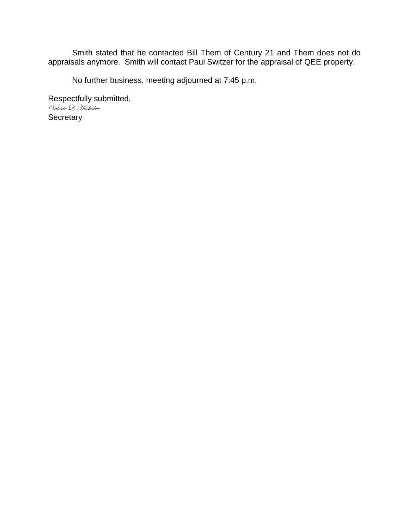Smith stated that he contacted Bill Them of Century 21 and Them does not do appraisals anymore. Smith will contact Paul Switzer for the appraisal of QEE property.

No further business, meeting adjourned at 7:45 p.m.

Respectfully submitted, Valorie L. Huckabee **Secretary**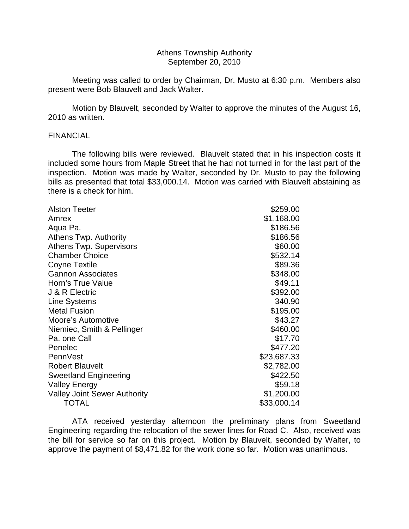## Athens Township Authority September 20, 2010

 Meeting was called to order by Chairman, Dr. Musto at 6:30 p.m. Members also present were Bob Blauvelt and Jack Walter.

 Motion by Blauvelt, seconded by Walter to approve the minutes of the August 16, 2010 as written.

### FINANCIAL

 The following bills were reviewed. Blauvelt stated that in his inspection costs it included some hours from Maple Street that he had not turned in for the last part of the inspection. Motion was made by Walter, seconded by Dr. Musto to pay the following bills as presented that total \$33,000.14. Motion was carried with Blauvelt abstaining as there is a check for him.

| <b>Alston Teeter</b>                | \$259.00    |
|-------------------------------------|-------------|
| Amrex                               | \$1,168.00  |
| Aqua Pa.                            | \$186.56    |
| Athens Twp. Authority               | \$186.56    |
| Athens Twp. Supervisors             | \$60.00     |
| <b>Chamber Choice</b>               | \$532.14    |
| Coyne Textile                       | \$89.36     |
| <b>Gannon Associates</b>            | \$348.00    |
| Horn's True Value                   | \$49.11     |
| J & R Electric                      | \$392.00    |
| <b>Line Systems</b>                 | 340.90      |
| <b>Metal Fusion</b>                 | \$195.00    |
| Moore's Automotive                  | \$43.27     |
| Niemiec, Smith & Pellinger          | \$460.00    |
| Pa. one Call                        | \$17.70     |
| Penelec                             | \$477.20    |
| PennVest                            | \$23,687.33 |
| <b>Robert Blauvelt</b>              | \$2,782.00  |
| <b>Sweetland Engineering</b>        | \$422.50    |
| <b>Valley Energy</b>                | \$59.18     |
| <b>Valley Joint Sewer Authority</b> | \$1,200.00  |
| <b>TOTAL</b>                        | \$33,000.14 |

 ATA received yesterday afternoon the preliminary plans from Sweetland Engineering regarding the relocation of the sewer lines for Road C. Also, received was the bill for service so far on this project. Motion by Blauvelt, seconded by Walter, to approve the payment of \$8,471.82 for the work done so far. Motion was unanimous.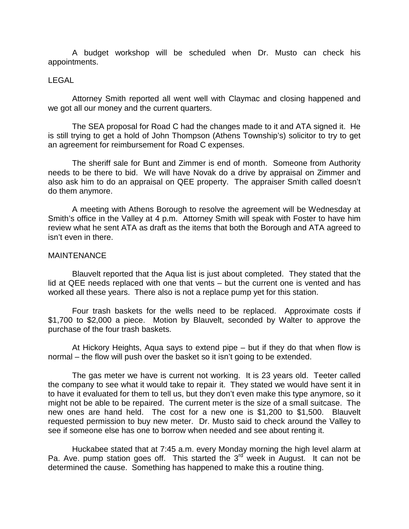A budget workshop will be scheduled when Dr. Musto can check his appointments.

## LEGAL

 Attorney Smith reported all went well with Claymac and closing happened and we got all our money and the current quarters.

 The SEA proposal for Road C had the changes made to it and ATA signed it. He is still trying to get a hold of John Thompson (Athens Township's) solicitor to try to get an agreement for reimbursement for Road C expenses.

 The sheriff sale for Bunt and Zimmer is end of month. Someone from Authority needs to be there to bid. We will have Novak do a drive by appraisal on Zimmer and also ask him to do an appraisal on QEE property. The appraiser Smith called doesn't do them anymore.

 A meeting with Athens Borough to resolve the agreement will be Wednesday at Smith's office in the Valley at 4 p.m. Attorney Smith will speak with Foster to have him review what he sent ATA as draft as the items that both the Borough and ATA agreed to isn't even in there.

## MAINTENANCE

 Blauvelt reported that the Aqua list is just about completed. They stated that the lid at QEE needs replaced with one that vents – but the current one is vented and has worked all these years. There also is not a replace pump yet for this station.

 Four trash baskets for the wells need to be replaced. Approximate costs if \$1,700 to \$2,000 a piece. Motion by Blauvelt, seconded by Walter to approve the purchase of the four trash baskets.

 At Hickory Heights, Aqua says to extend pipe – but if they do that when flow is normal – the flow will push over the basket so it isn't going to be extended.

 The gas meter we have is current not working. It is 23 years old. Teeter called the company to see what it would take to repair it. They stated we would have sent it in to have it evaluated for them to tell us, but they don't even make this type anymore, so it might not be able to be repaired. The current meter is the size of a small suitcase. The new ones are hand held. The cost for a new one is \$1,200 to \$1,500. Blauvelt requested permission to buy new meter. Dr. Musto said to check around the Valley to see if someone else has one to borrow when needed and see about renting it.

 Huckabee stated that at 7:45 a.m. every Monday morning the high level alarm at Pa. Ave. pump station goes off. This started the  $3<sup>rd</sup>$  week in August. It can not be determined the cause. Something has happened to make this a routine thing.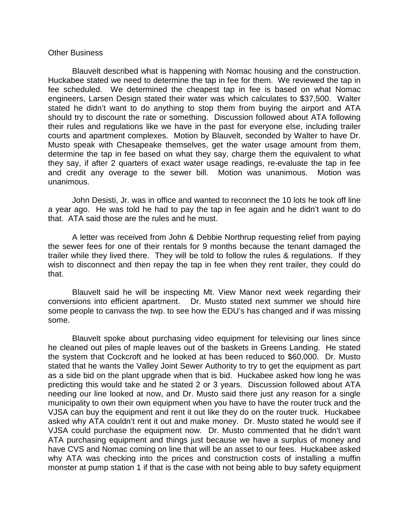### Other Business

 Blauvelt described what is happening with Nomac housing and the construction. Huckabee stated we need to determine the tap in fee for them. We reviewed the tap in fee scheduled. We determined the cheapest tap in fee is based on what Nomac engineers, Larsen Design stated their water was which calculates to \$37,500. Walter stated he didn't want to do anything to stop them from buying the airport and ATA should try to discount the rate or something. Discussion followed about ATA following their rules and regulations like we have in the past for everyone else, including trailer courts and apartment complexes. Motion by Blauvelt, seconded by Walter to have Dr. Musto speak with Chesapeake themselves, get the water usage amount from them, determine the tap in fee based on what they say, charge them the equivalent to what they say, if after 2 quarters of exact water usage readings, re-evaluate the tap in fee and credit any overage to the sewer bill. Motion was unanimous. Motion was unanimous.

 John Desisti, Jr. was in office and wanted to reconnect the 10 lots he took off line a year ago. He was told he had to pay the tap in fee again and he didn't want to do that. ATA said those are the rules and he must.

 A letter was received from John & Debbie Northrup requesting relief from paying the sewer fees for one of their rentals for 9 months because the tenant damaged the trailer while they lived there. They will be told to follow the rules & regulations. If they wish to disconnect and then repay the tap in fee when they rent trailer, they could do that.

 Blauvelt said he will be inspecting Mt. View Manor next week regarding their conversions into efficient apartment. Dr. Musto stated next summer we should hire some people to canvass the twp. to see how the EDU's has changed and if was missing some.

 Blauvelt spoke about purchasing video equipment for televising our lines since he cleaned out piles of maple leaves out of the baskets in Greens Landing. He stated the system that Cockcroft and he looked at has been reduced to \$60,000. Dr. Musto stated that he wants the Valley Joint Sewer Authority to try to get the equipment as part as a side bid on the plant upgrade when that is bid. Huckabee asked how long he was predicting this would take and he stated 2 or 3 years. Discussion followed about ATA needing our line looked at now, and Dr. Musto said there just any reason for a single municipality to own their own equipment when you have to have the router truck and the VJSA can buy the equipment and rent it out like they do on the router truck. Huckabee asked why ATA couldn't rent it out and make money. Dr. Musto stated he would see if VJSA could purchase the equipment now. Dr. Musto commented that he didn't want ATA purchasing equipment and things just because we have a surplus of money and have CVS and Nomac coming on line that will be an asset to our fees. Huckabee asked why ATA was checking into the prices and construction costs of installing a muffin monster at pump station 1 if that is the case with not being able to buy safety equipment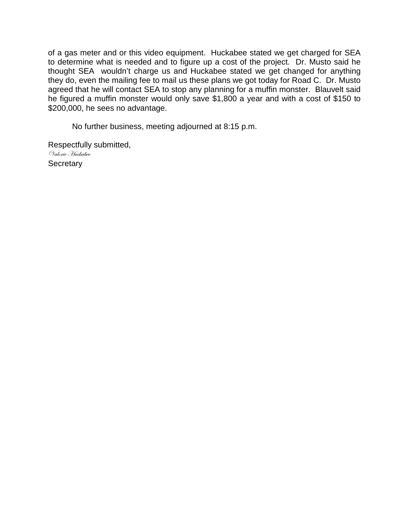of a gas meter and or this video equipment. Huckabee stated we get charged for SEA to determine what is needed and to figure up a cost of the project. Dr. Musto said he thought SEA wouldn't charge us and Huckabee stated we get changed for anything they do, even the mailing fee to mail us these plans we got today for Road C. Dr. Musto agreed that he will contact SEA to stop any planning for a muffin monster. Blauvelt said he figured a muffin monster would only save \$1,800 a year and with a cost of \$150 to \$200,000, he sees no advantage.

No further business, meeting adjourned at 8:15 p.m.

Respectfully submitted, Valorie Huckabee **Secretary**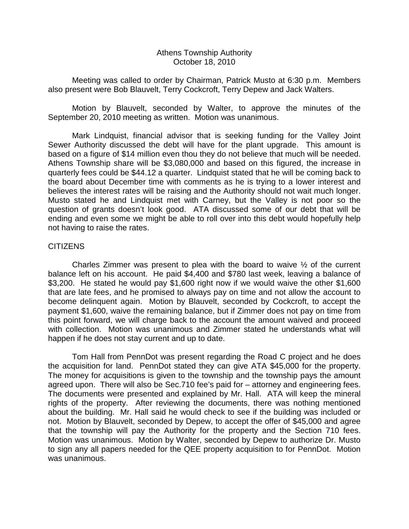# Athens Township Authority October 18, 2010

 Meeting was called to order by Chairman, Patrick Musto at 6:30 p.m. Members also present were Bob Blauvelt, Terry Cockcroft, Terry Depew and Jack Walters.

 Motion by Blauvelt, seconded by Walter, to approve the minutes of the September 20, 2010 meeting as written. Motion was unanimous.

 Mark Lindquist, financial advisor that is seeking funding for the Valley Joint Sewer Authority discussed the debt will have for the plant upgrade. This amount is based on a figure of \$14 million even thou they do not believe that much will be needed. Athens Township share will be \$3,080,000 and based on this figured, the increase in quarterly fees could be \$44.12 a quarter. Lindquist stated that he will be coming back to the board about December time with comments as he is trying to a lower interest and believes the interest rates will be raising and the Authority should not wait much longer. Musto stated he and Lindquist met with Carney, but the Valley is not poor so the question of grants doesn't look good. ATA discussed some of our debt that will be ending and even some we might be able to roll over into this debt would hopefully help not having to raise the rates.

# **CITIZENS**

 Charles Zimmer was present to plea with the board to waive ½ of the current balance left on his account. He paid \$4,400 and \$780 last week, leaving a balance of \$3,200. He stated he would pay \$1,600 right now if we would waive the other \$1,600 that are late fees, and he promised to always pay on time and not allow the account to become delinquent again. Motion by Blauvelt, seconded by Cockcroft, to accept the payment \$1,600, waive the remaining balance, but if Zimmer does not pay on time from this point forward, we will charge back to the account the amount waived and proceed with collection. Motion was unanimous and Zimmer stated he understands what will happen if he does not stay current and up to date.

 Tom Hall from PennDot was present regarding the Road C project and he does the acquisition for land. PennDot stated they can give ATA \$45,000 for the property. The money for acquisitions is given to the township and the township pays the amount agreed upon. There will also be Sec.710 fee's paid for – attorney and engineering fees. The documents were presented and explained by Mr. Hall. ATA will keep the mineral rights of the property. After reviewing the documents, there was nothing mentioned about the building. Mr. Hall said he would check to see if the building was included or not. Motion by Blauvelt, seconded by Depew, to accept the offer of \$45,000 and agree that the township will pay the Authority for the property and the Section 710 fees. Motion was unanimous. Motion by Walter, seconded by Depew to authorize Dr. Musto to sign any all papers needed for the QEE property acquisition to for PennDot. Motion was unanimous.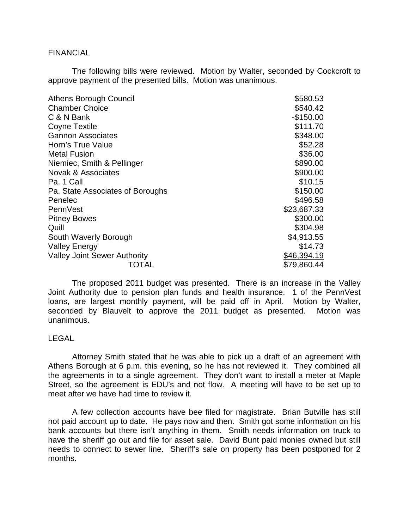### FINANCIAL

 The following bills were reviewed. Motion by Walter, seconded by Cockcroft to approve payment of the presented bills. Motion was unanimous.

| <b>Athens Borough Council</b>       | \$580.53    |
|-------------------------------------|-------------|
| <b>Chamber Choice</b>               | \$540.42    |
| C & N Bank                          | $-$150.00$  |
| <b>Coyne Textile</b>                | \$111.70    |
| <b>Gannon Associates</b>            | \$348.00    |
| Horn's True Value                   | \$52.28     |
| <b>Metal Fusion</b>                 | \$36.00     |
| Niemiec, Smith & Pellinger          | \$890.00    |
| Novak & Associates                  | \$900.00    |
| Pa. 1 Call                          | \$10.15     |
| Pa. State Associates of Boroughs    | \$150.00    |
| Penelec                             | \$496.58    |
| PennVest                            | \$23,687.33 |
| <b>Pitney Bowes</b>                 | \$300.00    |
| Quill                               | \$304.98    |
| South Waverly Borough               | \$4,913.55  |
| <b>Valley Energy</b>                | \$14.73     |
| <b>Valley Joint Sewer Authority</b> | \$46,394.19 |
| TOTAL                               | \$79,860.44 |

 The proposed 2011 budget was presented. There is an increase in the Valley Joint Authority due to pension plan funds and health insurance. 1 of the PennVest loans, are largest monthly payment, will be paid off in April. Motion by Walter, seconded by Blauvelt to approve the 2011 budget as presented. Motion was unanimous.

# LEGAL

 Attorney Smith stated that he was able to pick up a draft of an agreement with Athens Borough at 6 p.m. this evening, so he has not reviewed it. They combined all the agreements in to a single agreement. They don't want to install a meter at Maple Street, so the agreement is EDU's and not flow. A meeting will have to be set up to meet after we have had time to review it.

 A few collection accounts have bee filed for magistrate. Brian Butville has still not paid account up to date. He pays now and then. Smith got some information on his bank accounts but there isn't anything in them. Smith needs information on truck to have the sheriff go out and file for asset sale. David Bunt paid monies owned but still needs to connect to sewer line. Sheriff's sale on property has been postponed for 2 months.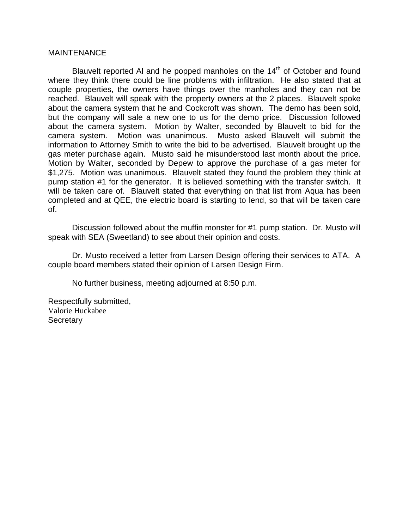## **MAINTENANCE**

Blauvelt reported AI and he popped manholes on the  $14<sup>th</sup>$  of October and found where they think there could be line problems with infiltration. He also stated that at couple properties, the owners have things over the manholes and they can not be reached. Blauvelt will speak with the property owners at the 2 places. Blauvelt spoke about the camera system that he and Cockcroft was shown. The demo has been sold, but the company will sale a new one to us for the demo price. Discussion followed about the camera system. Motion by Walter, seconded by Blauvelt to bid for the camera system. Motion was unanimous. Musto asked Blauvelt will submit the information to Attorney Smith to write the bid to be advertised. Blauvelt brought up the gas meter purchase again. Musto said he misunderstood last month about the price. Motion by Walter, seconded by Depew to approve the purchase of a gas meter for \$1,275. Motion was unanimous. Blauvelt stated they found the problem they think at pump station #1 for the generator. It is believed something with the transfer switch. It will be taken care of. Blauvelt stated that everything on that list from Aqua has been completed and at QEE, the electric board is starting to lend, so that will be taken care of.

 Discussion followed about the muffin monster for #1 pump station. Dr. Musto will speak with SEA (Sweetland) to see about their opinion and costs.

 Dr. Musto received a letter from Larsen Design offering their services to ATA. A couple board members stated their opinion of Larsen Design Firm.

No further business, meeting adjourned at 8:50 p.m.

Respectfully submitted, Valorie Huckabee **Secretary**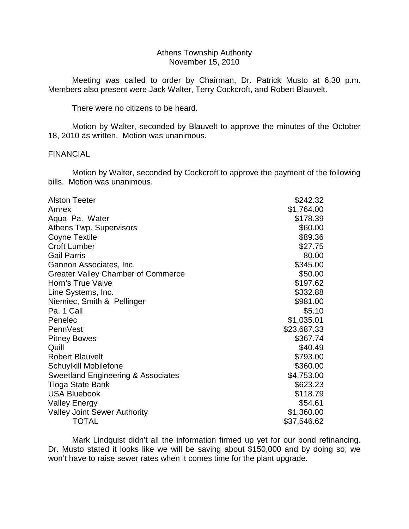## Athens Township Authority November 15, 2010

 Meeting was called to order by Chairman, Dr. Patrick Musto at 6:30 p.m. Members also present were Jack Walter, Terry Cockcroft, and Robert Blauvelt.

There were no citizens to be heard.

 Motion by Walter, seconded by Blauvelt to approve the minutes of the October 18, 2010 as written. Motion was unanimous.

## FINANCIAL

 Motion by Walter, seconded by Cockcroft to approve the payment of the following bills. Motion was unanimous.

| <b>Alston Teeter</b>                      | \$242.32    |
|-------------------------------------------|-------------|
| Amrex                                     | \$1,764.00  |
| Aqua Pa. Water                            | \$178.39    |
| <b>Athens Twp. Supervisors</b>            | \$60.00     |
| <b>Coyne Textile</b>                      | \$89.36     |
| <b>Croft Lumber</b>                       | \$27.75     |
| <b>Gail Parris</b>                        | 80.00       |
| Gannon Associates, Inc.                   | \$345.00    |
| <b>Greater Valley Chamber of Commerce</b> | \$50.00     |
| Horn's True Valve                         | \$197.62    |
| Line Systems, Inc.                        | \$332.88    |
| Niemiec, Smith & Pellinger                | \$981.00    |
| Pa. 1 Call                                | \$5.10      |
| Penelec                                   | \$1,035.01  |
| PennVest                                  | \$23,687.33 |
| <b>Pitney Bowes</b>                       | \$367.74    |
| Quill                                     | \$40.49     |
| <b>Robert Blauvelt</b>                    | \$793.00    |
| Schuylkill Mobilefone                     | \$360.00    |
| Sweetland Engineering & Associates        | \$4,753.00  |
| <b>Tioga State Bank</b>                   | \$623.23    |
| <b>USA Bluebook</b>                       | \$118.79    |
| <b>Valley Energy</b>                      | \$54.61     |
| <b>Valley Joint Sewer Authority</b>       | \$1,360.00  |
| <b>TOTAL</b>                              | \$37,546.62 |

 Mark Lindquist didn't all the information firmed up yet for our bond refinancing. Dr. Musto stated it looks like we will be saving about \$150,000 and by doing so; we won't have to raise sewer rates when it comes time for the plant upgrade.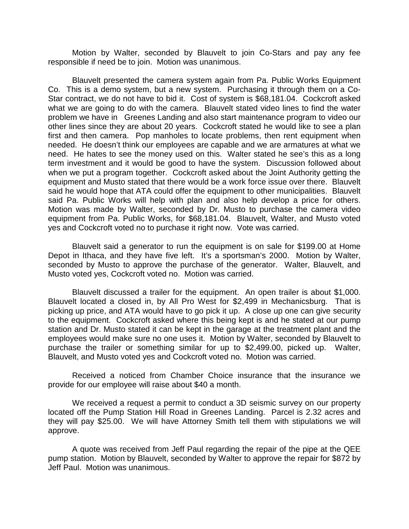Motion by Walter, seconded by Blauvelt to join Co-Stars and pay any fee responsible if need be to join. Motion was unanimous.

 Blauvelt presented the camera system again from Pa. Public Works Equipment Co. This is a demo system, but a new system. Purchasing it through them on a Co-Star contract, we do not have to bid it. Cost of system is \$68,181.04. Cockcroft asked what we are going to do with the camera. Blauvelt stated video lines to find the water problem we have in Greenes Landing and also start maintenance program to video our other lines since they are about 20 years. Cockcroft stated he would like to see a plan first and then camera. Pop manholes to locate problems, then rent equipment when needed. He doesn't think our employees are capable and we are armatures at what we need. He hates to see the money used on this. Walter stated he see's this as a long term investment and it would be good to have the system. Discussion followed about when we put a program together. Cockcroft asked about the Joint Authority getting the equipment and Musto stated that there would be a work force issue over there. Blauvelt said he would hope that ATA could offer the equipment to other municipalities. Blauvelt said Pa. Public Works will help with plan and also help develop a price for others. Motion was made by Walter, seconded by Dr. Musto to purchase the camera video equipment from Pa. Public Works, for \$68,181.04. Blauvelt, Walter, and Musto voted yes and Cockcroft voted no to purchase it right now. Vote was carried.

 Blauvelt said a generator to run the equipment is on sale for \$199.00 at Home Depot in Ithaca, and they have five left. It's a sportsman's 2000. Motion by Walter, seconded by Musto to approve the purchase of the generator. Walter, Blauvelt, and Musto voted yes, Cockcroft voted no. Motion was carried.

 Blauvelt discussed a trailer for the equipment. An open trailer is about \$1,000. Blauvelt located a closed in, by All Pro West for \$2,499 in Mechanicsburg. That is picking up price, and ATA would have to go pick it up. A close up one can give security to the equipment. Cockcroft asked where this being kept is and he stated at our pump station and Dr. Musto stated it can be kept in the garage at the treatment plant and the employees would make sure no one uses it. Motion by Walter, seconded by Blauvelt to purchase the trailer or something similar for up to \$2,499.00, picked up. Walter, Blauvelt, and Musto voted yes and Cockcroft voted no. Motion was carried.

 Received a noticed from Chamber Choice insurance that the insurance we provide for our employee will raise about \$40 a month.

 We received a request a permit to conduct a 3D seismic survey on our property located off the Pump Station Hill Road in Greenes Landing. Parcel is 2.32 acres and they will pay \$25.00. We will have Attorney Smith tell them with stipulations we will approve.

 A quote was received from Jeff Paul regarding the repair of the pipe at the QEE pump station. Motion by Blauvelt, seconded by Walter to approve the repair for \$872 by Jeff Paul. Motion was unanimous.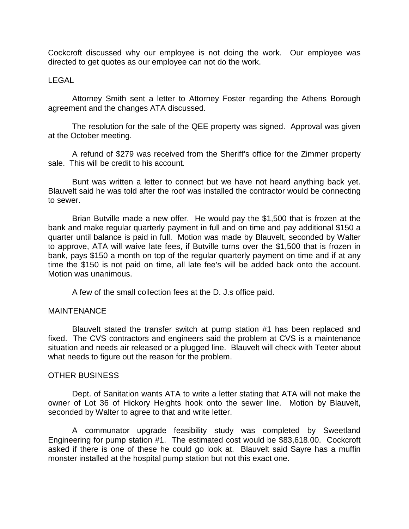Cockcroft discussed why our employee is not doing the work. Our employee was directed to get quotes as our employee can not do the work.

# LEGAL

 Attorney Smith sent a letter to Attorney Foster regarding the Athens Borough agreement and the changes ATA discussed.

 The resolution for the sale of the QEE property was signed. Approval was given at the October meeting.

 A refund of \$279 was received from the Sheriff's office for the Zimmer property sale. This will be credit to his account.

 Bunt was written a letter to connect but we have not heard anything back yet. Blauvelt said he was told after the roof was installed the contractor would be connecting to sewer.

 Brian Butville made a new offer. He would pay the \$1,500 that is frozen at the bank and make regular quarterly payment in full and on time and pay additional \$150 a quarter until balance is paid in full. Motion was made by Blauvelt, seconded by Walter to approve, ATA will waive late fees, if Butville turns over the \$1,500 that is frozen in bank, pays \$150 a month on top of the regular quarterly payment on time and if at any time the \$150 is not paid on time, all late fee's will be added back onto the account. Motion was unanimous.

A few of the small collection fees at the D. J.s office paid.

# MAINTENANCE

 Blauvelt stated the transfer switch at pump station #1 has been replaced and fixed. The CVS contractors and engineers said the problem at CVS is a maintenance situation and needs air released or a plugged line. Blauvelt will check with Teeter about what needs to figure out the reason for the problem.

# OTHER BUSINESS

 Dept. of Sanitation wants ATA to write a letter stating that ATA will not make the owner of Lot 36 of Hickory Heights hook onto the sewer line. Motion by Blauvelt, seconded by Walter to agree to that and write letter.

 A communator upgrade feasibility study was completed by Sweetland Engineering for pump station #1. The estimated cost would be \$83,618.00. Cockcroft asked if there is one of these he could go look at. Blauvelt said Sayre has a muffin monster installed at the hospital pump station but not this exact one.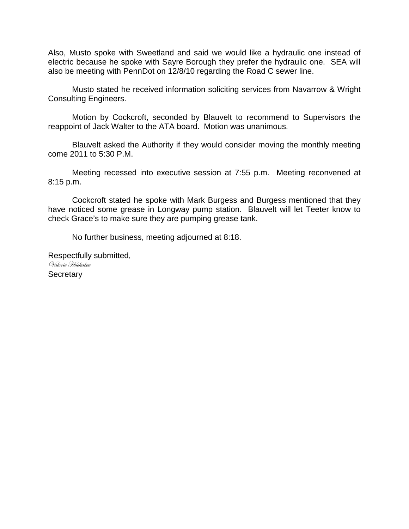Also, Musto spoke with Sweetland and said we would like a hydraulic one instead of electric because he spoke with Sayre Borough they prefer the hydraulic one. SEA will also be meeting with PennDot on 12/8/10 regarding the Road C sewer line.

 Musto stated he received information soliciting services from Navarrow & Wright Consulting Engineers.

 Motion by Cockcroft, seconded by Blauvelt to recommend to Supervisors the reappoint of Jack Walter to the ATA board. Motion was unanimous.

 Blauvelt asked the Authority if they would consider moving the monthly meeting come 2011 to 5:30 P.M.

 Meeting recessed into executive session at 7:55 p.m. Meeting reconvened at 8:15 p.m.

 Cockcroft stated he spoke with Mark Burgess and Burgess mentioned that they have noticed some grease in Longway pump station. Blauvelt will let Teeter know to check Grace's to make sure they are pumping grease tank.

No further business, meeting adjourned at 8:18.

Respectfully submitted, Valorie Huckabee **Secretary**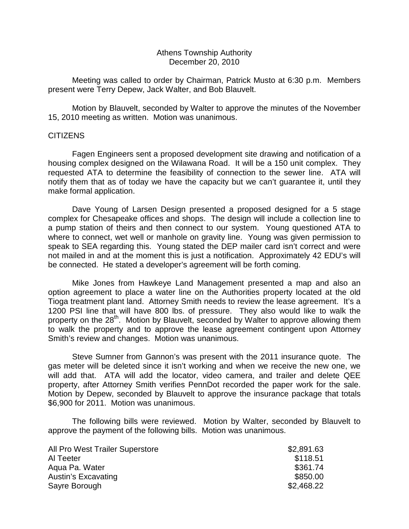# Athens Township Authority December 20, 2010

 Meeting was called to order by Chairman, Patrick Musto at 6:30 p.m. Members present were Terry Depew, Jack Walter, and Bob Blauvelt.

 Motion by Blauvelt, seconded by Walter to approve the minutes of the November 15, 2010 meeting as written. Motion was unanimous.

# **CITIZENS**

 Fagen Engineers sent a proposed development site drawing and notification of a housing complex designed on the Wilawana Road. It will be a 150 unit complex. They requested ATA to determine the feasibility of connection to the sewer line. ATA will notify them that as of today we have the capacity but we can't guarantee it, until they make formal application.

 Dave Young of Larsen Design presented a proposed designed for a 5 stage complex for Chesapeake offices and shops. The design will include a collection line to a pump station of theirs and then connect to our system. Young questioned ATA to where to connect, wet well or manhole on gravity line. Young was given permission to speak to SEA regarding this. Young stated the DEP mailer card isn't correct and were not mailed in and at the moment this is just a notification. Approximately 42 EDU's will be connected. He stated a developer's agreement will be forth coming.

 Mike Jones from Hawkeye Land Management presented a map and also an option agreement to place a water line on the Authorities property located at the old Tioga treatment plant land. Attorney Smith needs to review the lease agreement. It's a 1200 PSI line that will have 800 lbs. of pressure. They also would like to walk the property on the 28<sup>th</sup>. Motion by Blauvelt, seconded by Walter to approve allowing them to walk the property and to approve the lease agreement contingent upon Attorney Smith's review and changes. Motion was unanimous.

 Steve Sumner from Gannon's was present with the 2011 insurance quote. The gas meter will be deleted since it isn't working and when we receive the new one, we will add that. ATA will add the locator, video camera, and trailer and delete QEE property, after Attorney Smith verifies PennDot recorded the paper work for the sale. Motion by Depew, seconded by Blauvelt to approve the insurance package that totals \$6,900 for 2011. Motion was unanimous.

 The following bills were reviewed. Motion by Walter, seconded by Blauvelt to approve the payment of the following bills. Motion was unanimous.

| All Pro West Trailer Superstore | \$2,891.63 |
|---------------------------------|------------|
| Al Teeter                       | \$118.51   |
| Agua Pa. Water                  | \$361.74   |
| Austin's Excavating             | \$850.00   |
| Sayre Borough                   | \$2,468.22 |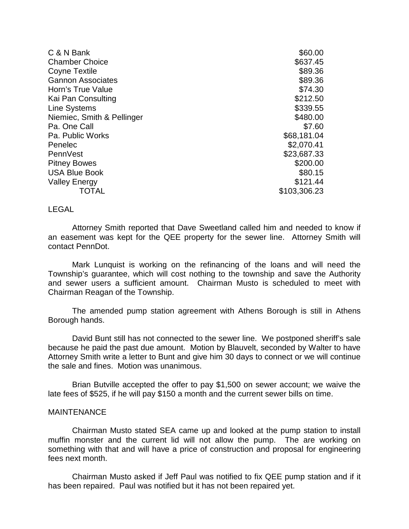| C & N Bank                 | \$60.00      |
|----------------------------|--------------|
| <b>Chamber Choice</b>      | \$637.45     |
| Coyne Textile              | \$89.36      |
| <b>Gannon Associates</b>   | \$89.36      |
| Horn's True Value          | \$74.30      |
| Kai Pan Consulting         | \$212.50     |
| <b>Line Systems</b>        | \$339.55     |
| Niemiec, Smith & Pellinger | \$480.00     |
| Pa. One Call               | \$7.60       |
| Pa. Public Works           | \$68,181.04  |
| Penelec                    | \$2,070.41   |
| PennVest                   | \$23,687.33  |
| <b>Pitney Bowes</b>        | \$200.00     |
| <b>USA Blue Book</b>       | \$80.15      |
| <b>Valley Energy</b>       | \$121.44     |
| TOTAL                      | \$103,306.23 |

LEGAL

 Attorney Smith reported that Dave Sweetland called him and needed to know if an easement was kept for the QEE property for the sewer line. Attorney Smith will contact PennDot.

 Mark Lunquist is working on the refinancing of the loans and will need the Township's guarantee, which will cost nothing to the township and save the Authority and sewer users a sufficient amount. Chairman Musto is scheduled to meet with Chairman Reagan of the Township.

 The amended pump station agreement with Athens Borough is still in Athens Borough hands.

 David Bunt still has not connected to the sewer line. We postponed sheriff's sale because he paid the past due amount. Motion by Blauvelt, seconded by Walter to have Attorney Smith write a letter to Bunt and give him 30 days to connect or we will continue the sale and fines. Motion was unanimous.

 Brian Butville accepted the offer to pay \$1,500 on sewer account; we waive the late fees of \$525, if he will pay \$150 a month and the current sewer bills on time.

### **MAINTENANCE**

 Chairman Musto stated SEA came up and looked at the pump station to install muffin monster and the current lid will not allow the pump. The are working on something with that and will have a price of construction and proposal for engineering fees next month.

 Chairman Musto asked if Jeff Paul was notified to fix QEE pump station and if it has been repaired. Paul was notified but it has not been repaired yet.